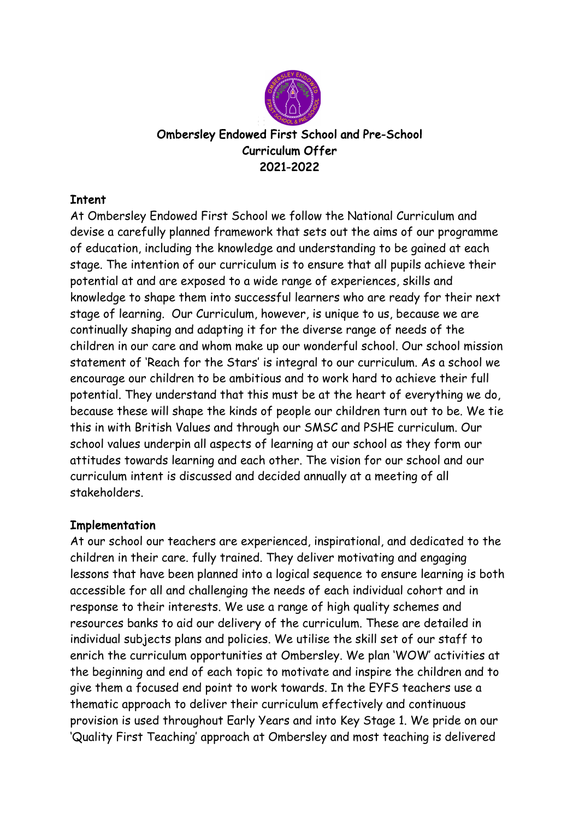

# Ombersley Endowed First School and Pre-School Curriculum Offer 2021-2022

## Intent

At Ombersley Endowed First School we follow the National Curriculum and devise a carefully planned framework that sets out the aims of our programme of education, including the knowledge and understanding to be gained at each stage. The intention of our curriculum is to ensure that all pupils achieve their potential at and are exposed to a wide range of experiences, skills and knowledge to shape them into successful learners who are ready for their next stage of learning. Our Curriculum, however, is unique to us, because we are continually shaping and adapting it for the diverse range of needs of the children in our care and whom make up our wonderful school. Our school mission statement of 'Reach for the Stars' is integral to our curriculum. As a school we encourage our children to be ambitious and to work hard to achieve their full potential. They understand that this must be at the heart of everything we do, because these will shape the kinds of people our children turn out to be. We tie this in with British Values and through our SMSC and PSHE curriculum. Our school values underpin all aspects of learning at our school as they form our attitudes towards learning and each other. The vision for our school and our curriculum intent is discussed and decided annually at a meeting of all stakeholders.

## Implementation

At our school our teachers are experienced, inspirational, and dedicated to the children in their care. fully trained. They deliver motivating and engaging lessons that have been planned into a logical sequence to ensure learning is both accessible for all and challenging the needs of each individual cohort and in response to their interests. We use a range of high quality schemes and resources banks to aid our delivery of the curriculum. These are detailed in individual subjects plans and policies. We utilise the skill set of our staff to enrich the curriculum opportunities at Ombersley. We plan 'WOW' activities at the beginning and end of each topic to motivate and inspire the children and to give them a focused end point to work towards. In the EYFS teachers use a thematic approach to deliver their curriculum effectively and continuous provision is used throughout Early Years and into Key Stage 1. We pride on our 'Quality First Teaching' approach at Ombersley and most teaching is delivered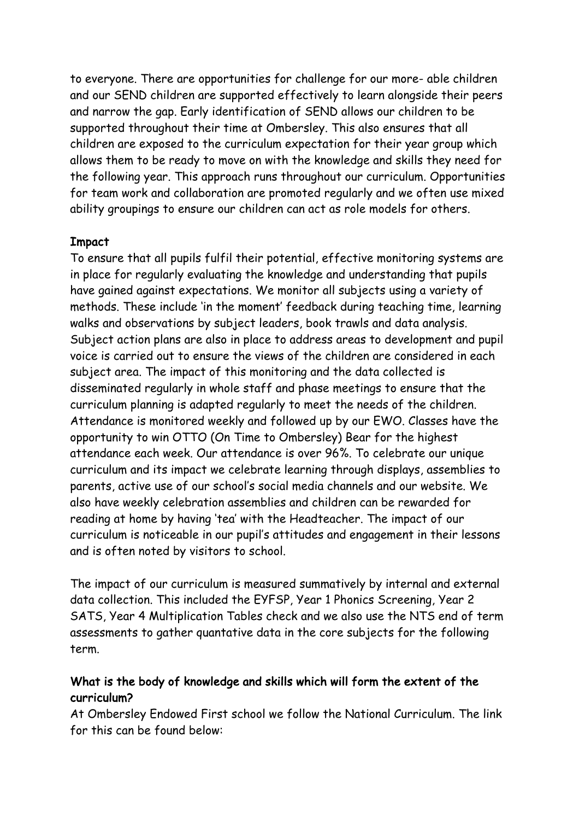to everyone. There are opportunities for challenge for our more- able children and our SEND children are supported effectively to learn alongside their peers and narrow the gap. Early identification of SEND allows our children to be supported throughout their time at Ombersley. This also ensures that all children are exposed to the curriculum expectation for their year group which allows them to be ready to move on with the knowledge and skills they need for the following year. This approach runs throughout our curriculum. Opportunities for team work and collaboration are promoted regularly and we often use mixed ability groupings to ensure our children can act as role models for others.

#### Impact

To ensure that all pupils fulfil their potential, effective monitoring systems are in place for regularly evaluating the knowledge and understanding that pupils have gained against expectations. We monitor all subjects using a variety of methods. These include 'in the moment' feedback during teaching time, learning walks and observations by subject leaders, book trawls and data analysis. Subject action plans are also in place to address areas to development and pupil voice is carried out to ensure the views of the children are considered in each subject area. The impact of this monitoring and the data collected is disseminated regularly in whole staff and phase meetings to ensure that the curriculum planning is adapted regularly to meet the needs of the children. Attendance is monitored weekly and followed up by our EWO. Classes have the opportunity to win OTTO (On Time to Ombersley) Bear for the highest attendance each week. Our attendance is over 96%. To celebrate our unique curriculum and its impact we celebrate learning through displays, assemblies to parents, active use of our school's social media channels and our website. We also have weekly celebration assemblies and children can be rewarded for reading at home by having 'tea' with the Headteacher. The impact of our curriculum is noticeable in our pupil's attitudes and engagement in their lessons and is often noted by visitors to school.

The impact of our curriculum is measured summatively by internal and external data collection. This included the EYFSP, Year 1 Phonics Screening, Year 2 SATS, Year 4 Multiplication Tables check and we also use the NTS end of term assessments to gather quantative data in the core subjects for the following term.

### What is the body of knowledge and skills which will form the extent of the curriculum?

At Ombersley Endowed First school we follow the National Curriculum. The link for this can be found below: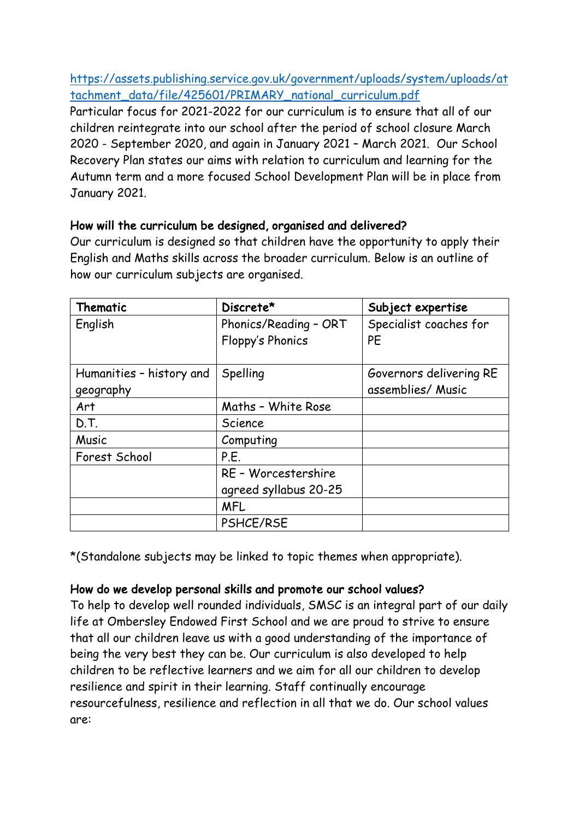https://assets.publishing.service.gov.uk/government/uploads/system/uploads/at tachment\_data/file/425601/PRIMARY\_national\_curriculum.pdf

Particular focus for 2021-2022 for our curriculum is to ensure that all of our children reintegrate into our school after the period of school closure March 2020 - September 2020, and again in January 2021 – March 2021. Our School Recovery Plan states our aims with relation to curriculum and learning for the Autumn term and a more focused School Development Plan will be in place from January 2021.

### How will the curriculum be designed, organised and delivered?

Our curriculum is designed so that children have the opportunity to apply their English and Maths skills across the broader curriculum. Below is an outline of how our curriculum subjects are organised.

| Thematic                 | Discrete*               | Subject expertise       |
|--------------------------|-------------------------|-------------------------|
| English                  | Phonics/Reading - ORT   | Specialist coaches for  |
|                          | <b>Floppy's Phonics</b> | PE                      |
|                          |                         |                         |
| Humanities - history and | Spelling                | Governors delivering RE |
| geography                |                         | assemblies/ Music       |
| Art                      | Maths - White Rose      |                         |
| D.T.                     | Science                 |                         |
| Music                    | Computing               |                         |
| Forest School            | P.E.                    |                         |
|                          | RE - Worcestershire     |                         |
|                          | agreed syllabus 20-25   |                         |
|                          | <b>MFL</b>              |                         |
|                          | PSHCE/RSE               |                         |

\*(Standalone subjects may be linked to topic themes when appropriate).

### How do we develop personal skills and promote our school values?

To help to develop well rounded individuals, SMSC is an integral part of our daily life at Ombersley Endowed First School and we are proud to strive to ensure that all our children leave us with a good understanding of the importance of being the very best they can be. Our curriculum is also developed to help children to be reflective learners and we aim for all our children to develop resilience and spirit in their learning. Staff continually encourage resourcefulness, resilience and reflection in all that we do. Our school values are: